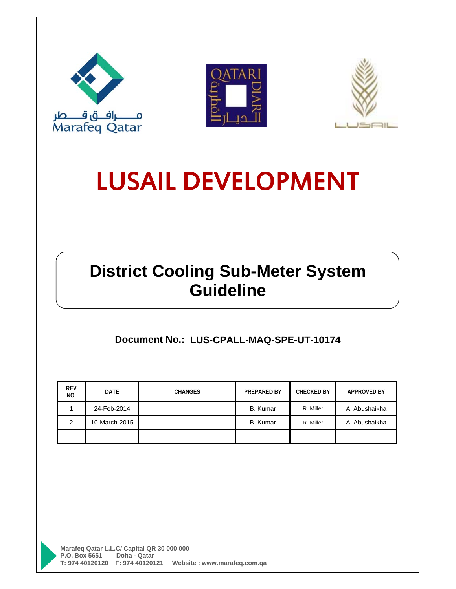





# **District Cooling Sub-Meter System Guideline**

**Document No.: LUS-CPALL-MAQ-SPE-UT-10174** 

| <b>REV</b><br>NO. | <b>DATE</b>   | <b>CHANGES</b> | PREPARED BY     | <b>CHECKED BY</b> | <b>APPROVED BY</b> |
|-------------------|---------------|----------------|-----------------|-------------------|--------------------|
|                   | 24-Feb-2014   |                | <b>B.</b> Kumar | R. Miller         | A. Abushaikha      |
| 2                 | 10-March-2015 |                | <b>B.</b> Kumar | R. Miller         | A. Abushaikha      |
|                   |               |                |                 |                   |                    |

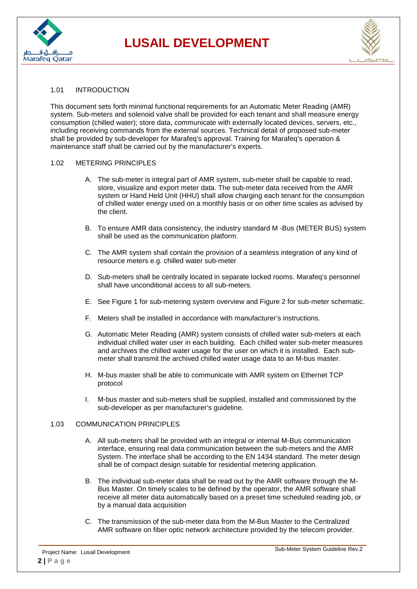



#### 1.01 INTRODUCTION

This document sets forth minimal functional requirements for an Automatic Meter Reading (AMR) system. Sub-meters and solenoid valve shall be provided for each tenant and shall measure energy consumption (chilled water); store data, communicate with externally located devices, servers, etc., including receiving commands from the external sources. Technical detail of proposed sub-meter shall be provided by sub-developer for Marafeq's approval. Training for Marafeq's operation & maintenance staff shall be carried out by the manufacturer's experts.

#### 1.02 METERING PRINCIPLES

- A. The sub-meter is integral part of AMR system, sub-meter shall be capable to read, store, visualize and export meter data. The sub-meter data received from the AMR system or Hand Held Unit (HHU) shall allow charging each tenant for the consumption of chilled water energy used on a monthly basis or on other time scales as advised by the client.
- B. To ensure AMR data consistency, the industry standard M -Bus (METER BUS) system shall be used as the communication platform.
- C. The AMR system shall contain the provision of a seamless integration of any kind of resource meters e.g. chilled water sub-meter
- D. Sub-meters shall be centrally located in separate locked rooms. Marafeq's personnel shall have unconditional access to all sub-meters.
- E. See Figure 1 for sub-metering system overview and Figure 2 for sub-meter schematic.
- F. Meters shall be installed in accordance with manufacturer's instructions.
- G. Automatic Meter Reading (AMR) system consists of chilled water sub-meters at each individual chilled water user in each building. Each chilled water sub-meter measures and archives the chilled water usage for the user on which it is installed. Each submeter shall transmit the archived chilled water usage data to an M-bus master.
- H. M-bus master shall be able to communicate with AMR system on Ethernet TCP protocol
- I. M-bus master and sub-meters shall be supplied, installed and commissioned by the sub-developer as per manufacturer's guideline.

#### 1.03 COMMUNICATION PRINCIPLES

- A. All sub-meters shall be provided with an integral or internal M-Bus communication interface, ensuring real data communication between the sub-meters and the AMR System. The interface shall be according to the EN 1434 standard. The meter design shall be of compact design suitable for residential metering application.
- B. The individual sub-meter data shall be read out by the AMR software through the M-Bus Master. On timely scales to be defined by the operator, the AMR software shall receive all meter data automatically based on a preset time scheduled reading job, or by a manual data acquisition
- C. The transmission of the sub-meter data from the M-Bus Master to the Centralized AMR software on fiber optic network architecture provided by the telecom provider.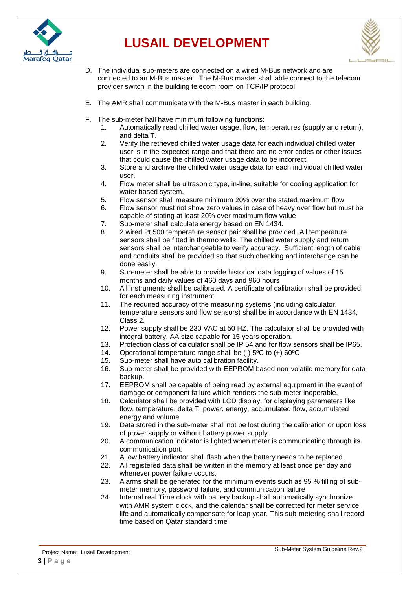



- D. The individual sub-meters are connected on a wired M-Bus network and are connected to an M-Bus master. The M-Bus master shall able connect to the telecom provider switch in the building telecom room on TCP/IP protocol
- E. The AMR shall communicate with the M-Bus master in each building.
- F. The sub-meter hall have minimum following functions:
	- 1. Automatically read chilled water usage, flow, temperatures (supply and return), and delta T.
	- 2. Verify the retrieved chilled water usage data for each individual chilled water user is in the expected range and that there are no error codes or other issues that could cause the chilled water usage data to be incorrect.
	- 3. Store and archive the chilled water usage data for each individual chilled water user.
	- 4. Flow meter shall be ultrasonic type, in-line, suitable for cooling application for water based system.
	- 5. Flow sensor shall measure minimum 20% over the stated maximum flow
	- 6. Flow sensor must not show zero values in case of heavy over flow but must be capable of stating at least 20% over maximum flow value
	- 7. Sub-meter shall calculate energy based on EN 1434.
	- 8. 2 wired Pt 500 temperature sensor pair shall be provided. All temperature sensors shall be fitted in thermo wells. The chilled water supply and return sensors shall be interchangeable to verify accuracy. Sufficient length of cable and conduits shall be provided so that such checking and interchange can be done easily.
	- 9. Sub-meter shall be able to provide historical data logging of values of 15 months and daily values of 460 days and 960 hours
	- 10. All instruments shall be calibrated. A certificate of calibration shall be provided for each measuring instrument.
	- 11. The required accuracy of the measuring systems (including calculator, temperature sensors and flow sensors) shall be in accordance with EN 1434, Class 2.
	- 12. Power supply shall be 230 VAC at 50 HZ. The calculator shall be provided with integral battery, AA size capable for 15 years operation.
	- 13. Protection class of calculator shall be IP 54 and for flow sensors shall be IP65.
	- 14. Operational temperature range shall be (-) 5ºC to (+) 60ºC
	- 15. Sub-meter shall have auto calibration facility.
	- 16. Sub-meter shall be provided with EEPROM based non-volatile memory for data backup.
	- 17. EEPROM shall be capable of being read by external equipment in the event of damage or component failure which renders the sub-meter inoperable.
	- 18. Calculator shall be provided with LCD display, for displaying parameters like flow, temperature, delta T, power, energy, accumulated flow, accumulated energy and volume.
	- 19. Data stored in the sub-meter shall not be lost during the calibration or upon loss of power supply or without battery power supply.
	- 20. A communication indicator is lighted when meter is communicating through its communication port.
	- 21. A low battery indicator shall flash when the battery needs to be replaced.
	- 22. All registered data shall be written in the memory at least once per day and whenever power failure occurs.
	- 23. Alarms shall be generated for the minimum events such as 95 % filling of submeter memory, password failure, and communication failure
	- 24. Internal real Time clock with battery backup shall automatically synchronize with AMR system clock, and the calendar shall be corrected for meter service life and automatically compensate for leap year. This sub-metering shall record time based on Qatar standard time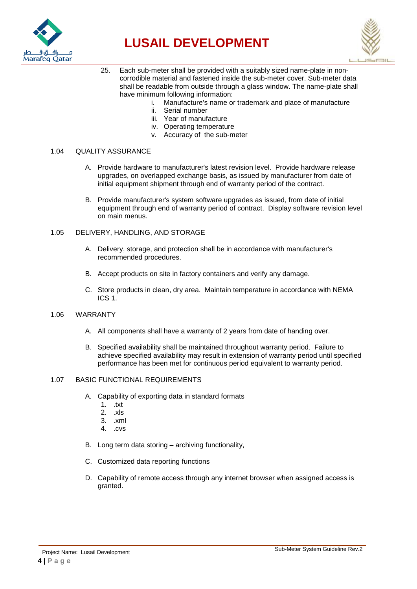



- 25. Each sub-meter shall be provided with a suitably sized name-plate in noncorrodible material and fastened inside the sub-meter cover. Sub-meter data shall be readable from outside through a glass window. The name-plate shall have minimum following information:
	- i. Manufacture's name or trademark and place of manufacture
	- ii. Serial number
	- iii. Year of manufacture
	- iv. Operating temperature
	- v. Accuracy of the sub-meter

#### 1.04 QUALITY ASSURANCE

- A. Provide hardware to manufacturer's latest revision level. Provide hardware release upgrades, on overlapped exchange basis, as issued by manufacturer from date of initial equipment shipment through end of warranty period of the contract.
- B. Provide manufacturer's system software upgrades as issued, from date of initial equipment through end of warranty period of contract. Display software revision level on main menus.

#### 1.05 DELIVERY, HANDLING, AND STORAGE

- A. Delivery, storage, and protection shall be in accordance with manufacturer's recommended procedures.
- B. Accept products on site in factory containers and verify any damage.
- C. Store products in clean, dry area. Maintain temperature in accordance with NEMA ICS 1.

#### 1.06 WARRANTY

- A. All components shall have a warranty of 2 years from date of handing over.
- B. Specified availability shall be maintained throughout warranty period. Failure to achieve specified availability may result in extension of warranty period until specified performance has been met for continuous period equivalent to warranty period.

#### 1.07 BASIC FUNCTIONAL REQUIREMENTS

- A. Capability of exporting data in standard formats
	- 1. .txt
	- 2. .xls
	- 3. .xml
	- 4. .cvs
- B. Long term data storing archiving functionality,
- C. Customized data reporting functions
- D. Capability of remote access through any internet browser when assigned access is granted.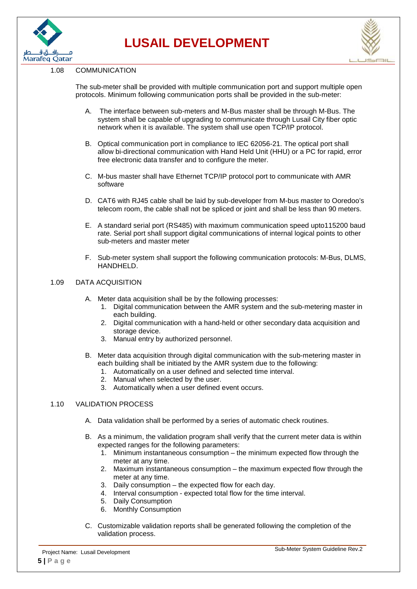



#### 1.08 COMMUNICATION

The sub-meter shall be provided with multiple communication port and support multiple open protocols. Minimum following communication ports shall be provided in the sub-meter:

- A. The interface between sub-meters and M-Bus master shall be through M-Bus. The system shall be capable of upgrading to communicate through Lusail City fiber optic network when it is available. The system shall use open TCP/IP protocol.
- B. Optical communication port in compliance to IEC 62056-21. The optical port shall allow bi-directional communication with Hand Held Unit (HHU) or a PC for rapid, error free electronic data transfer and to configure the meter.
- C. M-bus master shall have Ethernet TCP/IP protocol port to communicate with AMR software
- D. CAT6 with RJ45 cable shall be laid by sub-developer from M-bus master to Ooredoo's telecom room, the cable shall not be spliced or joint and shall be less than 90 meters.
- E. A standard serial port (RS485) with maximum communication speed upto115200 baud rate. Serial port shall support digital communications of internal logical points to other sub-meters and master meter
- F. Sub-meter system shall support the following communication protocols: M-Bus, DLMS, HANDHELD.

#### 1.09 DATA ACQUISITION

- A. Meter data acquisition shall be by the following processes:
	- 1. Digital communication between the AMR system and the sub-metering master in each building.
	- 2. Digital communication with a hand-held or other secondary data acquisition and storage device.
	- 3. Manual entry by authorized personnel.
- B. Meter data acquisition through digital communication with the sub-metering master in each building shall be initiated by the AMR system due to the following:
	- 1. Automatically on a user defined and selected time interval.
	- 2. Manual when selected by the user.
	- 3. Automatically when a user defined event occurs.

#### 1.10 VALIDATION PROCESS

- A. Data validation shall be performed by a series of automatic check routines.
- B. As a minimum, the validation program shall verify that the current meter data is within expected ranges for the following parameters:
	- 1. Minimum instantaneous consumption the minimum expected flow through the meter at any time.
	- 2. Maximum instantaneous consumption the maximum expected flow through the meter at any time.
	- 3. Daily consumption the expected flow for each day.
	- 4. Interval consumption expected total flow for the time interval.
	- 5. Daily Consumption
	- 6. Monthly Consumption
- C. Customizable validation reports shall be generated following the completion of the validation process.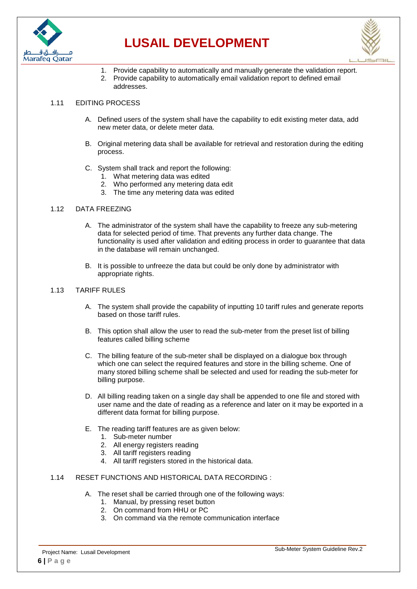



- 1. Provide capability to automatically and manually generate the validation report.
- 2. Provide capability to automatically email validation report to defined email addresses.

#### 1.11 EDITING PROCESS

- A. Defined users of the system shall have the capability to edit existing meter data, add new meter data, or delete meter data.
- B. Original metering data shall be available for retrieval and restoration during the editing process.
- C. System shall track and report the following:
	- 1. What metering data was edited
	- 2. Who performed any metering data edit
	- 3. The time any metering data was edited

#### 1.12 DATA FREEZING

- A. The administrator of the system shall have the capability to freeze any sub-metering data for selected period of time. That prevents any further data change. The functionality is used after validation and editing process in order to guarantee that data in the database will remain unchanged.
- B. It is possible to unfreeze the data but could be only done by administrator with appropriate rights.

#### 1.13 TARIFF RULES

- A. The system shall provide the capability of inputting 10 tariff rules and generate reports based on those tariff rules.
- B. This option shall allow the user to read the sub-meter from the preset list of billing features called billing scheme
- C. The billing feature of the sub-meter shall be displayed on a dialogue box through which one can select the required features and store in the billing scheme. One of many stored billing scheme shall be selected and used for reading the sub-meter for billing purpose.
- D. All billing reading taken on a single day shall be appended to one file and stored with user name and the date of reading as a reference and later on it may be exported in a different data format for billing purpose.
- E. The reading tariff features are as given below:
	- 1. Sub-meter number
	- 2. All energy registers reading
	- 3. All tariff registers reading
	- 4. All tariff registers stored in the historical data.
- 1.14 RESET FUNCTIONS AND HISTORICAL DATA RECORDING :
	- A. The reset shall be carried through one of the following ways:
		- 1. Manual, by pressing reset button
		- 2. On command from HHU or PC
		- 3. On command via the remote communication interface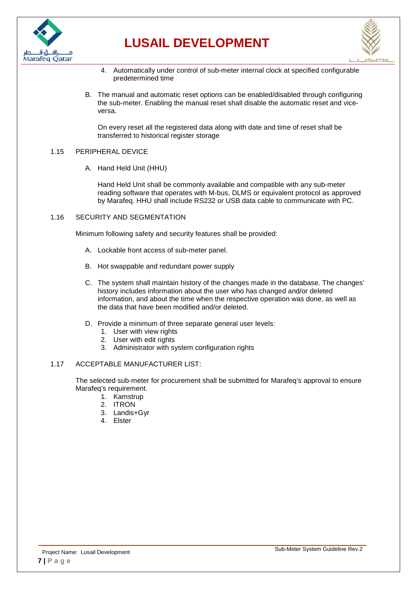



- 4. Automatically under control of sub-meter internal clock at specified configurable predetermined time
- B. The manual and automatic reset options can be enabled/disabled through configuring the sub-meter. Enabling the manual reset shall disable the automatic reset and viceversa.

On every reset all the registered data along with date and time of reset shall be transferred to historical register storage

#### 1.15 PERIPHERAL DEVICE

A. Hand Held Unit (HHU)

Hand Held Unit shall be commonly available and compatible with any sub-meter reading software that operates with M-bus, DLMS or equivalent protocol as approved by Marafeq. HHU shall include RS232 or USB data cable to communicate with PC.

1.16 SECURITY AND SEGMENTATION

Minimum following safety and security features shall be provided:

- A. Lockable front access of sub-meter panel.
- B. Hot swappable and redundant power supply
- C. The system shall maintain history of the changes made in the database. The changes' history includes information about the user who has changed and/or deleted information, and about the time when the respective operation was done, as well as the data that have been modified and/or deleted.
- D. Provide a minimum of three separate general user levels:
	- 1. User with view rights
	- 2. User with edit rights
	- 3. Administrator with system configuration rights

#### 1.17 ACCEPTABLE MANUFACTURER LIST:

The selected sub-meter for procurement shall be submitted for Marafeq's approval to ensure Marafeg's requirement.

- 1. Kamstrup
- 2. ITRON
- 3. Landis+Gyr
- 4. Elster